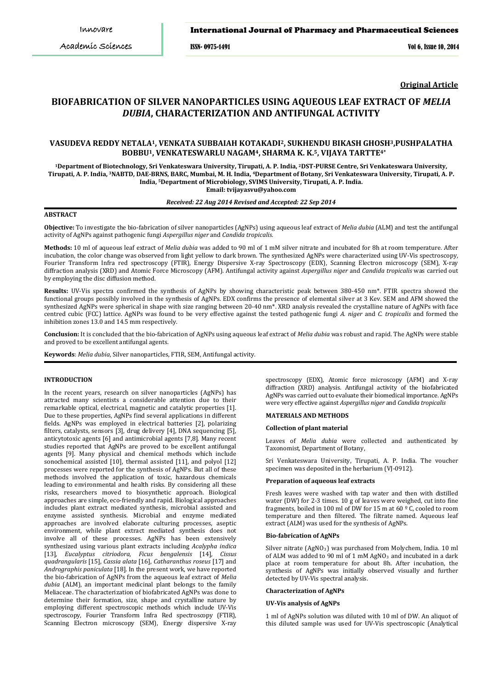## International Journal of Pharmacy and Pharmaceutical Sciences

ISSN- 0975-1491 Vol 6, Issue 10, 2014

**Original Article**

# **BIOFABRICATION OF SILVER NANOPARTICLES USING AQUEOUS LEAF EXTRACT OF** *MELIA DUBIA***, CHARACTERIZATION AND ANTIFUNGAL ACTIVITY**

## **VASUDEVA REDDY NETALA1, VENKATA SUBBAIAH KOTAKADI2, SUKHENDU BIKASH GHOSH3,PUSHPALATHA BOBBU1, VENKATESWARLU NAGAM4, SHARMA K. K.5, VIJAYA TARTTE4\***

**<sup>1</sup>Department of Biotechnology, Sri Venkateswara University, Tirupati, A. P. India, <sup>2</sup>DST-PURSE Centre, Sri Venkateswara University, Tirupati, A. P. India, <sup>3</sup>NABTD, DAE-BRNS, BARC, Mumbai, M. H. India, <sup>4</sup>Department of Botany, Sri Venkateswara University, Tirupati, A. P. India, <sup>5</sup>Department of Microbiology, SVIMS University, Tirupati, A. P. India. Email: tvijayasvu@yahoo.com**

## *Received: 22 Aug 2014 Revised and Accepted: 22 Sep 2014*

## **ABSTRACT**

**Objective:** To investigate the bio-fabrication of silver nanoparticles (AgNPs) using aqueous leaf extract of *Melia dubia* (ALM) and test the antifungal activity of AgNPs against pathogenic fungi *Aspergillus niger* and *Candida tropicalis.*

**Methods:** 10 ml of aqueous leaf extract of *Melia dubia* was added to 90 ml of 1 mM silver nitrate and incubated for 8h at room temperature. After incubation, the color change was observed from light yellow to dark brown. The synthesized AgNPs were characterized using UV-Vis spectroscopy, Fourier Transform Infra red spectroscopy (FTIR), Energy Dispersive X-ray Spectroscopy (EDX), Scanning Electron microscopy (SEM), X-ray diffraction analysis (XRD) and Atomic Force Microscopy (AFM). Antifungal activity against *Aspergillus niger* and *Candida tropicalis* was carried out by employing the disc diffusion method.

**Results:** UV-Vis spectra confirmed the synthesis of AgNPs by showing characteristic peak between 380-450 nm\*. FTIR spectra showed the functional groups possibly involved in the synthesis of AgNPs. EDX confirms the presence of elemental silver at 3 Kev. SEM and AFM showed the synthesized AgNPs were spherical in shape with size ranging between 20-40 nm\*. XRD analysis revealed the crystalline nature of AgNPs with face centred cubic (FCC) lattice. AgNPs was found to be very effective against the tested pathogenic fungi *A. niger* and *C. tropicalis* and formed the inhibition zones 13.0 and 14.5 mm respectively.

**Conclusion:** It is concluded that the bio-fabrication of AgNPs using aqueous leaf extract of *Melia dubia* was robust and rapid. The AgNPs were stable and proved to be excellent antifungal agents.

**Keywords**: *Melia dubia*, Silver nanoparticles, FTIR, SEM, Antifungal activity.

## **INTRODUCTION**

In the recent years, research on silver nanoparticles (AgNPs) has attracted many scientists a considerable attention due to their remarkable optical, electrical, magnetic and catalytic properties [1]. Due to these properties, AgNPs find several applications in different fields. AgNPs was employed in electrical batteries [2], polarizing filters, catalysts, sensors [3], drug delivery [4], DNA sequencing [5], anticytotoxic agents [6] and antimicrobial agents [7,8]. Many recent studies reported that AgNPs are proved to be excellent antifungal agents [9]. Many physical and chemical methods which include sonochemical assisted [10], thermal assisted [11], and polyol [12] processes were reported for the synthesis of AgNPs. But all of these methods involved the application of toxic, hazardous chemicals leading to environmental and health risks. By considering all these risks, researchers moved to biosynthetic approach. Biological approaches are simple, eco-friendly and rapid. Biological approaches includes plant extract mediated synthesis, microbial assisted and enzyme assisted synthesis. Microbial and enzyme mediated approaches are involved elaborate culturing processes, aseptic environment, while plant extract mediated synthesis does not involve all of these processes. AgNPs has been extensively synthesized using various plant extracts including *Acalypha indica* [13]*, Eucalyptus citriodora*, *Ficus bengalensis* [14]*, Cissus quadrangularis* [15], *Cassia alata* [16], *Catharanthus roseus* [17] and *Andrographis paniculata* [18]*.* In the present work, we have reported the bio-fabrication of AgNPs from the aqueous leaf extract of *Melia dubia* (ALM), an important medicinal plant belongs to the family Meliaceae. The characterization of biofabricated AgNPs was done to determine their formation, size, shape and crystalline nature by employing different spectroscopic methods which include UV-Vis spectroscopy, Fourier Transform Infra Red spectroscopy (FTIR), Scanning Electron microscopy (SEM), Energy dispersive X-ray

spectroscopy (EDX), Atomic force microscopy (AFM) and X-ray diffraction (XRD) analysis. Antifungal activity of the biofabricated AgNPs was carried out to evaluate their biomedical importance. AgNPs were very effective against *Aspergillus niger* and *Candida tropicalis*

#### **MATERIALS AND METHODS**

#### **Collection of plant material**

Leaves of *Melia dubia* were collected and authenticated by Taxonomist, Department of Botany,

Sri Venkateswara University, Tirupati, A. P. India. The voucher specimen was deposited in the herbarium (VJ-0912).

#### **Preparation of aqueous leaf extracts**

Fresh leaves were washed with tap water and then with distilled water (DW) for 2-3 times. 10 g of leaves were weighed, cut into fine fragments, boiled in 100 ml of DW for 15 m at 60  $\frac{9}{2}$ C, cooled to room temperature and then filtered. The filtrate named. Aqueous leaf extract (ALM) was used for the synthesis of AgNPs.

#### **Bio-fabrication of AgNPs**

Silver nitrate (AgNO<sub>3</sub>) was purchased from Molychem, India. 10 ml of ALM was added to 90 ml of 1 mM  $AgNO_3$  and incubated in a dark place at room temperature for about 8h. After incubation, the synthesis of AgNPs was initially observed visually and further detected by UV-Vis spectral analysis.

### **Characterization of AgNPs**

#### **UV-Vis analysis of AgNPs**

1 ml of AgNPs solution was diluted with 10 ml of DW. An aliquot of this diluted sample was used for UV-Vis spectroscopic (Analytical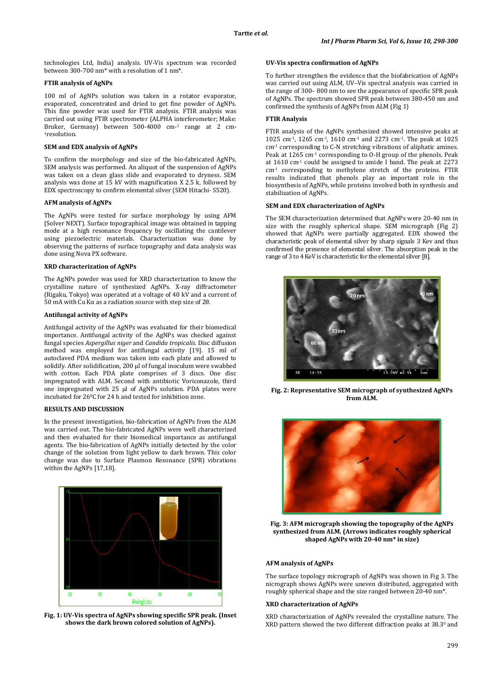technologies Ltd, India) analysis. UV-Vis spectrum was recorded between 300-700 nm\* with a resolution of 1 nm\*.

## **FTIR analysis of AgNPs**

100 ml of AgNPs solution was taken in a rotator evaporator, evaporated, concentrated and dried to get fine powder of AgNPs. This fine powder was used for FTIR analysis. FTIR analysis was carried out using FTIR spectrometer (ALPHA interferometer; Make: Bruker, Germany) between 500-4000 cm-1 range at 2 cm- 1 resolution.

## **SEM and EDX analysis of AgNPs**

To confirm the morphology and size of the bio-fabricated AgNPs, SEM analysis was performed. An aliquot of the suspension of AgNPs was taken on a clean glass slide and evaporated to dryness. SEM analysis was done at 15 kV with magnification X 2.5 k, followed by EDX spectroscopy to confirm elemental silver (SEM Hitachi- S520).

## **AFM analysis of AgNPs**

The AgNPs were tested for surface morphology by using AFM (Solver NEXT). Surface topographical image was obtained in tapping mode at a high resonance frequency by oscillating the cantilever using piezoelectric materials. Characterization was done by observing the patterns of surface topography and data analysis was done using Nova PX software.

#### **XRD characterization of AgNPs**

The AgNPs powder was used for XRD characterization to know the crystalline nature of synthesized AgNPs. X-ray diffractometer (Rigaku, Tokyo) was operated at a voltage of 40 kV and a current of 50 mA with Cu Kα as a radiation source with step size of 2θ.

## **Antifungal activity of AgNPs**

Antifungal activity of the AgNPs was evaluated for their biomedical importance. Antifungal activity of the AgNPs was checked against fungal species *Aspergillus niger* and *Candida tropicalis.* Disc diffusion method was employed for antifungal activity [19]. 15 ml of autoclaved PDA medium was taken into each plate and allowed to solidify. After solidification, 200 µl of fungal inoculum were swabbed with cotton. Each PDA plate comprises of 3 discs. One disc impregnated with ALM. Second with antibiotic Voriconazole, third one impregnated with 25 µl of AgNPs solution. PDA plates were incubated for 260 C for 24 h and tested for inhibition zone.

### **RESULTS AND DISCUSSION**

In the present investigation, bio-fabrication of AgNPs from the ALM was carried out. The bio-fabricated AgNPs were well characterized and then evaluated for their biomedical importance as antifungal agents. The bio-fabrication of AgNPs initially detected by the color change of the solution from light yellow to dark brown. This color change was due to Surface Plasmon Resonance (SPR) vibrations within the AgNPs [17,18].



**Fig. 1: UV-Vis spectra of AgNPs showing specific SPR peak. (Inset shows the dark brown colored solution of AgNPs).**

## **UV-Vis spectra confirmation of AgNPs**

To further strengthen the evidence that the biofabrication of AgNPs was carried out using ALM, UV–Vis spectral analysis was carried in the range of 300– 800 nm to see the appearance of specific SPR peak of AgNPs. The spectrum showed SPR peak between 380-450 nm and confirmed the synthesis of AgNPs from ALM (Fig 1)

#### **FTIR Analysis**

FTIR analysis of the AgNPs synthesized showed intensive peaks at 1025 cm-1, 1265 cm-1, 1610 cm-1 and 2273 cm-1. The peak at 1025 cm-1 corresponding to C-N stretching vibrations of aliphatic amines. Peak at 1265 cm-1 corresponding to O-H group of the phenols. Peak at 1610 cm-1 could be assigned to amide I band. The peak at 2273 cm-1 corresponding to methylene stretch of the proteins. FTIR results indicated that phenols play an important role in the biosynthesis of AgNPs, while proteins involved both in synthesis and stabilization of AgNPs.

## **SEM and EDX characterization of AgNPs**

The SEM characterization determined that AgNPs were 20-40 nm in size with the roughly spherical shape. SEM micrograph (Fig 2) showed that AgNPs were partially aggregated. EDX showed the characteristic peak of elemental silver by sharp signals 3 Kev and thus confirmed the presence of elemental silver. The absorption peak in the range of 3 to 4 KeV is characteristic for the elemental silver [8].



**Fig. 2: Representative SEM micrograph of synthesized AgNPs from ALM.**



**Fig. 3: AFM micrograph showing the topography of the AgNPs synthesized from ALM. (Arrows indicates roughly spherical shaped AgNPs with 20-40 nm\* in size)**

#### **AFM analysis of AgNPs**

The surface topology micrograph of AgNPs was shown in Fig 3. The nicrograph shows AgNPs were uneven distributed, aggregated with roughly spherical shape and the size ranged between 20-40 nm\*.

## **XRD characterization of AgNPs**

XRD characterization of AgNPs revealed the crystalline nature. The XRD pattern showed the two different diffraction peaks at 38.30 and